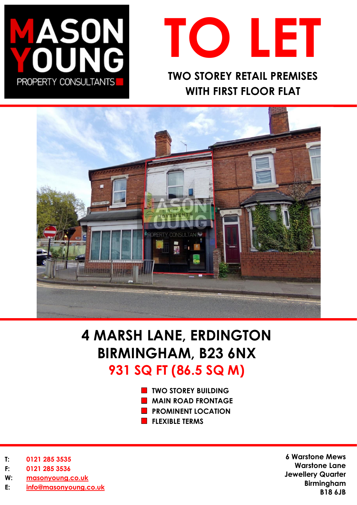



**WITH FIRST FLOOR FLAT** 



# **4 MARSH LANE, ERDINGTON BIRMINGHAM, B23 6NX 931 SQ FT (86.5 SQ M)**

- **TWO STOREY BUILDING**
- **MAIN ROAD FRONTAGE**
- **PROMINENT LOCATION**
- **FLEXIBLE TERMS**

- **T: 0121 285 3535**
- **F: 0121 285 3536**
- **W: [masonyoung.co.uk](http://www.masonyoung.co.uk/)**
- **E: [info@masonyoung.co.uk](mailto:info@masonyoung.co.uk)**

**6 Warstone Mews Warstone Lane Jewellery Quarter Birmingham B18 6JB**